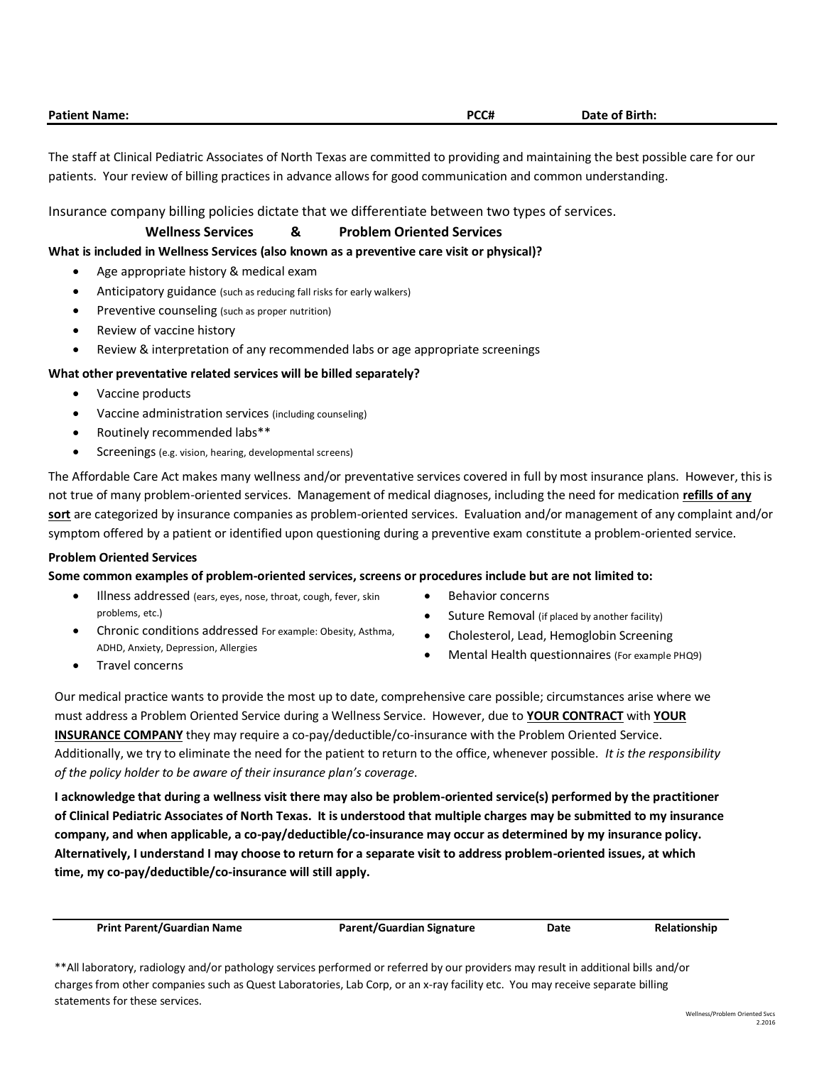| <b>Patient Name:</b> | PCC# | Date of Birth: |
|----------------------|------|----------------|
|                      |      |                |

The staff at Clinical Pediatric Associates of North Texas are committed to providing and maintaining the best possible care for our patients. Your review of billing practices in advance allows for good communication and common understanding.

Insurance company billing policies dictate that we differentiate between two types of services.

## **Wellness Services & Problem Oriented Services**

#### **What is included in Wellness Services (also known as a preventive care visit or physical)?**

- Age appropriate history & medical exam
- Anticipatory guidance (such as reducing fall risks for early walkers)
- Preventive counseling (such as proper nutrition)
- Review of vaccine history
- Review & interpretation of any recommended labs or age appropriate screenings

### **What other preventative related services will be billed separately?**

- Vaccine products
- Vaccine administration services (including counseling)
- Routinely recommended labs\*\*
- Screenings (e.g. vision, hearing, developmental screens)

The Affordable Care Act makes many wellness and/or preventative services covered in full by most insurance plans. However, this is not true of many problem-oriented services. Management of medical diagnoses, including the need for medication **refills of any sort** are categorized by insurance companies as problem-oriented services. Evaluation and/or management of any complaint and/or symptom offered by a patient or identified upon questioning during a preventive exam constitute a problem-oriented service.

#### **Problem Oriented Services**

#### **Some common examples of problem-oriented services, screens or procedures include but are not limited to:**

- Illness addressed (ears, eyes, nose, throat, cough, fever, skin problems, etc.)
- Chronic conditions addressed For example: Obesity, Asthma, ADHD, Anxiety, Depression, Allergies
- Behavior concerns
- Suture Removal (if placed by another facility)
- Cholesterol, Lead, Hemoglobin Screening
	- Mental Health questionnaires (For example PHQ9)

Travel concerns

Our medical practice wants to provide the most up to date, comprehensive care possible; circumstances arise where we must address a Problem Oriented Service during a Wellness Service. However, due to **YOUR CONTRACT** with **YOUR INSURANCE COMPANY** they may require a co-pay/deductible/co-insurance with the Problem Oriented Service. Additionally, we try to eliminate the need for the patient to return to the office, whenever possible. *It is the responsibility of the policy holder to be aware of their insurance plan's coverage*.

**I acknowledge that during a wellness visit there may also be problem-oriented service(s) performed by the practitioner of Clinical Pediatric Associates of North Texas. It is understood that multiple charges may be submitted to my insurance company, and when applicable, a co-pay/deductible/co-insurance may occur as determined by my insurance policy. Alternatively, I understand I may choose to return for a separate visit to address problem-oriented issues, at which time, my co-pay/deductible/co-insurance will still apply.**

**Print Parent/Guardian Name Parent/Guardian Signature Date Relationship**

<sup>\*\*</sup>All laboratory, radiology and/or pathology services performed or referred by our providers may result in additional bills and/or charges from other companies such as Quest Laboratories, Lab Corp, or an x-ray facility etc. You may receive separate billing statements for these services.